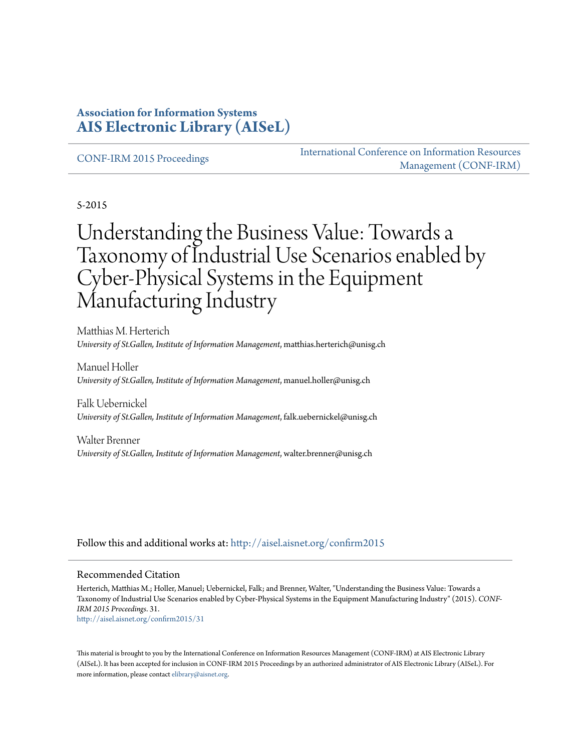#### **Association for Information Systems [AIS Electronic Library \(AISeL\)](http://aisel.aisnet.org?utm_source=aisel.aisnet.org%2Fconfirm2015%2F31&utm_medium=PDF&utm_campaign=PDFCoverPages)**

[CONF-IRM 2015 Proceedings](http://aisel.aisnet.org/confirm2015?utm_source=aisel.aisnet.org%2Fconfirm2015%2F31&utm_medium=PDF&utm_campaign=PDFCoverPages)

[International Conference on Information Resources](http://aisel.aisnet.org/conf-irm?utm_source=aisel.aisnet.org%2Fconfirm2015%2F31&utm_medium=PDF&utm_campaign=PDFCoverPages) [Management \(CONF-IRM\)](http://aisel.aisnet.org/conf-irm?utm_source=aisel.aisnet.org%2Fconfirm2015%2F31&utm_medium=PDF&utm_campaign=PDFCoverPages)

5-2015

# Understanding the Business Value: Towards a Taxonomy of Industrial Use Scenarios enabled by Cyber-Physical Systems in the Equipment Manufacturing Industry

Matthias M. Herterich *University of St.Gallen, Institute of Information Management*, matthias.herterich@unisg.ch

Manuel Holler *University of St.Gallen, Institute of Information Management*, manuel.holler@unisg.ch

Falk Uebernickel *University of St.Gallen, Institute of Information Management*, falk.uebernickel@unisg.ch

Walter Brenner *University of St.Gallen, Institute of Information Management*, walter.brenner@unisg.ch

Follow this and additional works at: [http://aisel.aisnet.org/confirm2015](http://aisel.aisnet.org/confirm2015?utm_source=aisel.aisnet.org%2Fconfirm2015%2F31&utm_medium=PDF&utm_campaign=PDFCoverPages)

#### Recommended Citation

Herterich, Matthias M.; Holler, Manuel; Uebernickel, Falk; and Brenner, Walter, "Understanding the Business Value: Towards a Taxonomy of Industrial Use Scenarios enabled by Cyber-Physical Systems in the Equipment Manufacturing Industry" (2015). *CONF-IRM 2015 Proceedings*. 31. [http://aisel.aisnet.org/confirm2015/31](http://aisel.aisnet.org/confirm2015/31?utm_source=aisel.aisnet.org%2Fconfirm2015%2F31&utm_medium=PDF&utm_campaign=PDFCoverPages)

This material is brought to you by the International Conference on Information Resources Management (CONF-IRM) at AIS Electronic Library (AISeL). It has been accepted for inclusion in CONF-IRM 2015 Proceedings by an authorized administrator of AIS Electronic Library (AISeL). For more information, please contact [elibrary@aisnet.org.](mailto:elibrary@aisnet.org%3E)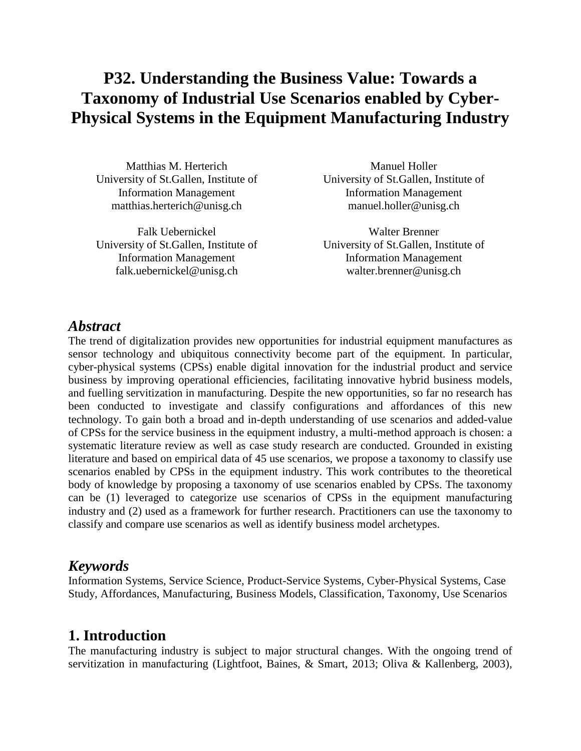## **P32. Understanding the Business Value: Towards a Taxonomy of Industrial Use Scenarios enabled by Cyber-Physical Systems in the Equipment Manufacturing Industry**

Matthias M. Herterich University of St.Gallen, Institute of Information Management matthias.herterich@unisg.ch

Falk Uebernickel University of St.Gallen, Institute of Information Management falk.uebernickel@unisg.ch

Manuel Holler University of St.Gallen, Institute of Information Management manuel.holler@unisg.ch

Walter Brenner University of St.Gallen, Institute of Information Management walter.brenner@unisg.ch

#### *Abstract*

The trend of digitalization provides new opportunities for industrial equipment manufactures as sensor technology and ubiquitous connectivity become part of the equipment. In particular, cyber-physical systems (CPSs) enable digital innovation for the industrial product and service business by improving operational efficiencies, facilitating innovative hybrid business models, and fuelling servitization in manufacturing. Despite the new opportunities, so far no research has been conducted to investigate and classify configurations and affordances of this new technology. To gain both a broad and in-depth understanding of use scenarios and added-value of CPSs for the service business in the equipment industry, a multi-method approach is chosen: a systematic literature review as well as case study research are conducted. Grounded in existing literature and based on empirical data of 45 use scenarios, we propose a taxonomy to classify use scenarios enabled by CPSs in the equipment industry. This work contributes to the theoretical body of knowledge by proposing a taxonomy of use scenarios enabled by CPSs. The taxonomy can be (1) leveraged to categorize use scenarios of CPSs in the equipment manufacturing industry and (2) used as a framework for further research. Practitioners can use the taxonomy to classify and compare use scenarios as well as identify business model archetypes.

#### *Keywords*

Information Systems, Service Science, Product-Service Systems, Cyber-Physical Systems, Case Study, Affordances, Manufacturing, Business Models, Classification, Taxonomy, Use Scenarios

## **1. Introduction**

The manufacturing industry is subject to major structural changes. With the ongoing trend of servitization in manufacturing (Lightfoot, Baines, & Smart, 2013; Oliva & Kallenberg, 2003),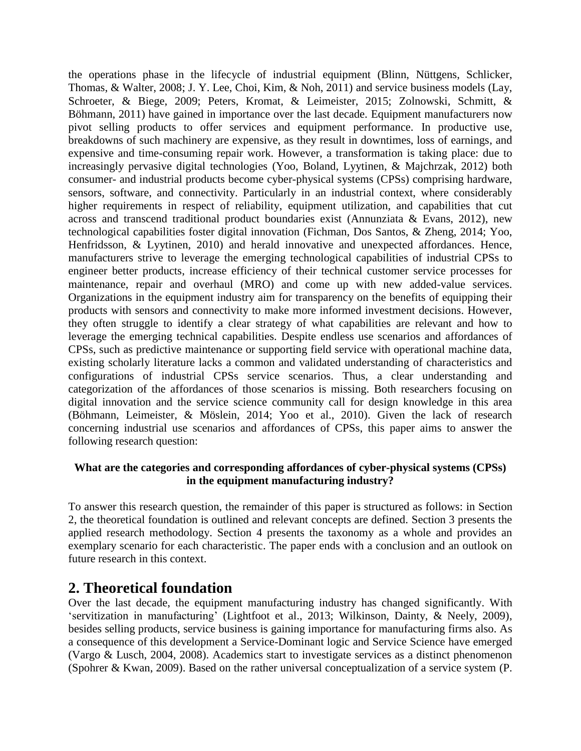the operations phase in the lifecycle of industrial equipment (Blinn, Nüttgens, Schlicker, Thomas, & Walter, 2008; J. Y. Lee, Choi, Kim, & Noh, 2011) and service business models (Lay, Schroeter, & Biege, 2009; Peters, Kromat, & Leimeister, 2015; Zolnowski, Schmitt, & Böhmann, 2011) have gained in importance over the last decade. Equipment manufacturers now pivot selling products to offer services and equipment performance. In productive use, breakdowns of such machinery are expensive, as they result in downtimes, loss of earnings, and expensive and time-consuming repair work. However, a transformation is taking place: due to increasingly pervasive digital technologies (Yoo, Boland, Lyytinen, & Majchrzak, 2012) both consumer- and industrial products become cyber-physical systems (CPSs) comprising hardware, sensors, software, and connectivity. Particularly in an industrial context, where considerably higher requirements in respect of reliability, equipment utilization, and capabilities that cut across and transcend traditional product boundaries exist (Annunziata & Evans, 2012), new technological capabilities foster digital innovation (Fichman, Dos Santos, & Zheng, 2014; Yoo, Henfridsson, & Lyytinen, 2010) and herald innovative and unexpected affordances. Hence, manufacturers strive to leverage the emerging technological capabilities of industrial CPSs to engineer better products, increase efficiency of their technical customer service processes for maintenance, repair and overhaul (MRO) and come up with new added-value services. Organizations in the equipment industry aim for transparency on the benefits of equipping their products with sensors and connectivity to make more informed investment decisions. However, they often struggle to identify a clear strategy of what capabilities are relevant and how to leverage the emerging technical capabilities. Despite endless use scenarios and affordances of CPSs, such as predictive maintenance or supporting field service with operational machine data, existing scholarly literature lacks a common and validated understanding of characteristics and configurations of industrial CPSs service scenarios. Thus, a clear understanding and categorization of the affordances of those scenarios is missing. Both researchers focusing on digital innovation and the service science community call for design knowledge in this area (Böhmann, Leimeister, & Möslein, 2014; Yoo et al., 2010). Given the lack of research concerning industrial use scenarios and affordances of CPSs, this paper aims to answer the following research question:

#### **What are the categories and corresponding affordances of cyber-physical systems (CPSs) in the equipment manufacturing industry?**

To answer this research question, the remainder of this paper is structured as follows: in Section 2, the theoretical foundation is outlined and relevant concepts are defined. Section 3 presents the applied research methodology. Section 4 presents the taxonomy as a whole and provides an exemplary scenario for each characteristic. The paper ends with a conclusion and an outlook on future research in this context.

## **2. Theoretical foundation**

Over the last decade, the equipment manufacturing industry has changed significantly. With 'servitization in manufacturing' (Lightfoot et al., 2013; Wilkinson, Dainty, & Neely, 2009), besides selling products, service business is gaining importance for manufacturing firms also. As a consequence of this development a Service-Dominant logic and Service Science have emerged (Vargo & Lusch, 2004, 2008). Academics start to investigate services as a distinct phenomenon (Spohrer & Kwan, 2009). Based on the rather universal conceptualization of a service system (P.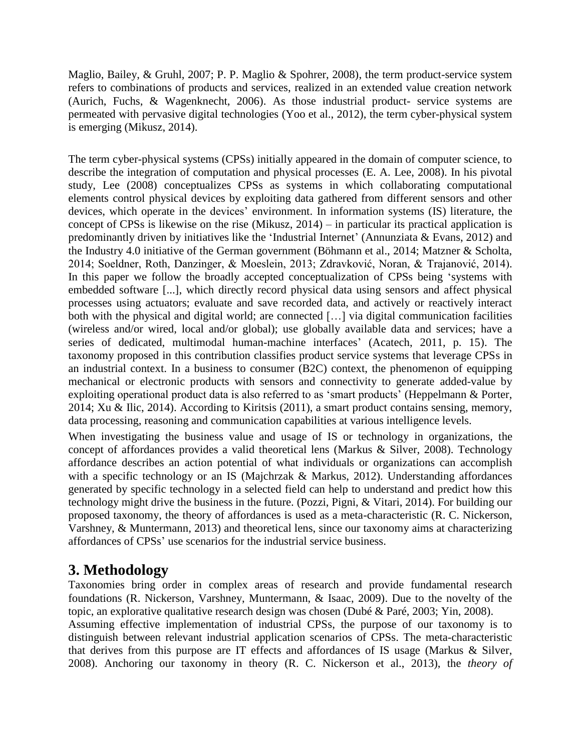Maglio, Bailey, & Gruhl, 2007; P. P. Maglio & Spohrer, 2008), the term product-service system refers to combinations of products and services, realized in an extended value creation network (Aurich, Fuchs, & Wagenknecht, 2006). As those industrial product- service systems are permeated with pervasive digital technologies (Yoo et al., 2012), the term cyber-physical system is emerging (Mikusz, 2014).

The term cyber-physical systems (CPSs) initially appeared in the domain of computer science, to describe the integration of computation and physical processes (E. A. Lee, 2008). In his pivotal study, Lee (2008) conceptualizes CPSs as systems in which collaborating computational elements control physical devices by exploiting data gathered from different sensors and other devices, which operate in the devices' environment. In information systems (IS) literature, the concept of CPSs is likewise on the rise (Mikusz, 2014) – in particular its practical application is predominantly driven by initiatives like the 'Industrial Internet' (Annunziata & Evans, 2012) and the Industry 4.0 initiative of the German government (Böhmann et al., 2014; Matzner & Scholta, 2014; Soeldner, Roth, Danzinger, & Moeslein, 2013; Zdravković, Noran, & Trajanović, 2014). In this paper we follow the broadly accepted conceptualization of CPSs being 'systems with embedded software [...], which directly record physical data using sensors and affect physical processes using actuators; evaluate and save recorded data, and actively or reactively interact both with the physical and digital world; are connected [...] via digital communication facilities (wireless and/or wired, local and/or global); use globally available data and services; have a series of dedicated, multimodal human-machine interfaces' (Acatech, 2011, p. 15). The taxonomy proposed in this contribution classifies product service systems that leverage CPSs in an industrial context. In a business to consumer (B2C) context, the phenomenon of equipping mechanical or electronic products with sensors and connectivity to generate added-value by exploiting operational product data is also referred to as 'smart products' (Heppelmann & Porter, 2014; Xu & Ilic, 2014). According to Kiritsis (2011), a smart product contains sensing, memory, data processing, reasoning and communication capabilities at various intelligence levels.

When investigating the business value and usage of IS or technology in organizations, the concept of affordances provides a valid theoretical lens (Markus & Silver, 2008). Technology affordance describes an action potential of what individuals or organizations can accomplish with a specific technology or an IS (Majchrzak & Markus, 2012). Understanding affordances generated by specific technology in a selected field can help to understand and predict how this technology might drive the business in the future. (Pozzi, Pigni, & Vitari, 2014). For building our proposed taxonomy, the theory of affordances is used as a meta-characteristic (R. C. Nickerson, Varshney, & Muntermann, 2013) and theoretical lens, since our taxonomy aims at characterizing affordances of CPSs' use scenarios for the industrial service business.

## **3. Methodology**

Taxonomies bring order in complex areas of research and provide fundamental research foundations (R. Nickerson, Varshney, Muntermann, & Isaac, 2009). Due to the novelty of the topic, an explorative qualitative research design was chosen (Dubé & Paré, 2003; Yin, 2008).

Assuming effective implementation of industrial CPSs, the purpose of our taxonomy is to distinguish between relevant industrial application scenarios of CPSs. The meta-characteristic that derives from this purpose are IT effects and affordances of IS usage (Markus & Silver, 2008). Anchoring our taxonomy in theory (R. C. Nickerson et al., 2013), the *theory of*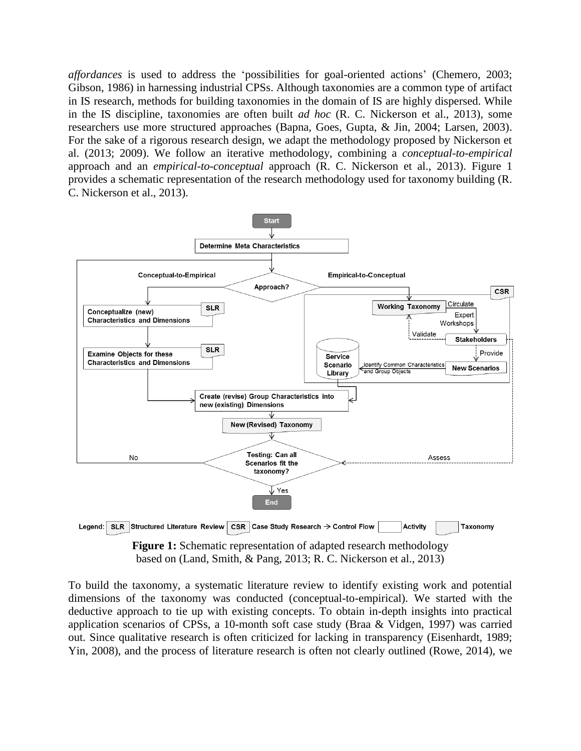*affordances* is used to address the 'possibilities for goal-oriented actions' (Chemero, 2003; Gibson, 1986) in harnessing industrial CPSs. Although taxonomies are a common type of artifact in IS research, methods for building taxonomies in the domain of IS are highly dispersed. While in the IS discipline, taxonomies are often built *ad hoc* (R. C. Nickerson et al., 2013), some researchers use more structured approaches (Bapna, Goes, Gupta, & Jin, 2004; Larsen, 2003). For the sake of a rigorous research design, we adapt the methodology proposed by Nickerson et al. (2013; 2009). We follow an iterative methodology, combining a *conceptual-to-empirical* approach and an *empirical-to-conceptual* approach (R. C. Nickerson et al., 2013). [Figure 1](#page-4-0) provides a schematic representation of the research methodology used for taxonomy building (R. C. Nickerson et al., 2013).



**Figure 1:** Schematic representation of adapted research methodology based on (Land, Smith, & Pang, 2013; R. C. Nickerson et al., 2013)

<span id="page-4-0"></span>To build the taxonomy, a systematic literature review to identify existing work and potential dimensions of the taxonomy was conducted (conceptual-to-empirical). We started with the deductive approach to tie up with existing concepts. To obtain in-depth insights into practical application scenarios of CPSs, a 10-month soft case study (Braa & Vidgen, 1997) was carried out. Since qualitative research is often criticized for lacking in transparency (Eisenhardt, 1989; Yin, 2008), and the process of literature research is often not clearly outlined (Rowe, 2014), we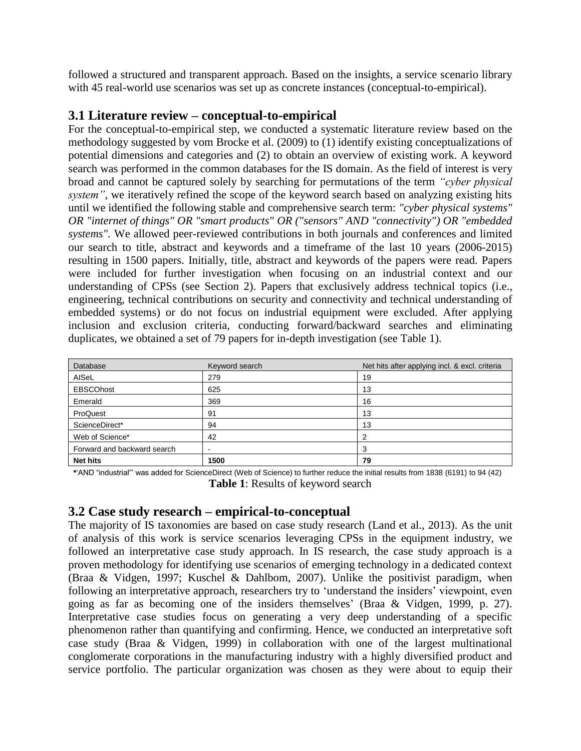followed a structured and transparent approach. Based on the insights, a service scenario library with 45 real-world use scenarios was set up as concrete instances (conceptual-to-empirical).

#### **3.1 Literature review – conceptual-to-empirical**

For the conceptual-to-empirical step, we conducted a systematic literature review based on the methodology suggested by vom Brocke et al. (2009) to (1) identify existing conceptualizations of potential dimensions and categories and (2) to obtain an overview of existing work. A keyword search was performed in the common databases for the IS domain. As the field of interest is very broad and cannot be captured solely by searching for permutations of the term *"cyber physical system"*, we iteratively refined the scope of the keyword search based on analyzing existing hits until we identified the following stable and comprehensive search term: *"cyber physical systems" OR "internet of things" OR "smart products" OR ("sensors" AND "connectivity") OR "embedded systems".* We allowed peer-reviewed contributions in both journals and conferences and limited our search to title, abstract and keywords and a timeframe of the last 10 years (2006-2015) resulting in 1500 papers. Initially, title, abstract and keywords of the papers were read. Papers were included for further investigation when focusing on an industrial context and our understanding of CPSs (see Section 2). Papers that exclusively address technical topics (i.e., engineering, technical contributions on security and connectivity and technical understanding of embedded systems) or do not focus on industrial equipment were excluded. After applying inclusion and exclusion criteria, conducting forward/backward searches and eliminating duplicates, we obtained a set of 79 papers for in-depth investigation (see [Table 1\)](#page-5-0).

| Database                    | Keyword search | Net hits after applying incl. & excl. criteria |
|-----------------------------|----------------|------------------------------------------------|
| AISeL                       | 279            | 19                                             |
| <b>EBSCOhost</b>            | 625            | 13                                             |
| Emerald                     | 369            | 16                                             |
| ProQuest                    | 91             | 13                                             |
| ScienceDirect*              | 94             | 13                                             |
| Web of Science*             | 42             | 2                                              |
| Forward and backward search | -              | 3                                              |
| <b>Net hits</b>             | 1500           | 79                                             |

<span id="page-5-0"></span>**\***'AND "industrial"' was added for ScienceDirect (Web of Science) to further reduce the initial results from 1838 (6191) to 94 (42) **Table 1**: Results of keyword search

#### **3.2 Case study research – empirical-to-conceptual**

The majority of IS taxonomies are based on case study research (Land et al., 2013). As the unit of analysis of this work is service scenarios leveraging CPSs in the equipment industry, we followed an interpretative case study approach. In IS research, the case study approach is a proven methodology for identifying use scenarios of emerging technology in a dedicated context (Braa & Vidgen, 1997; Kuschel & Dahlbom, 2007). Unlike the positivist paradigm, when following an interpretative approach, researchers try to 'understand the insiders' viewpoint, even going as far as becoming one of the insiders themselves' (Braa & Vidgen, 1999, p. 27). Interpretative case studies focus on generating a very deep understanding of a specific phenomenon rather than quantifying and confirming. Hence, we conducted an interpretative soft case study (Braa & Vidgen, 1999) in collaboration with one of the largest multinational conglomerate corporations in the manufacturing industry with a highly diversified product and service portfolio. The particular organization was chosen as they were about to equip their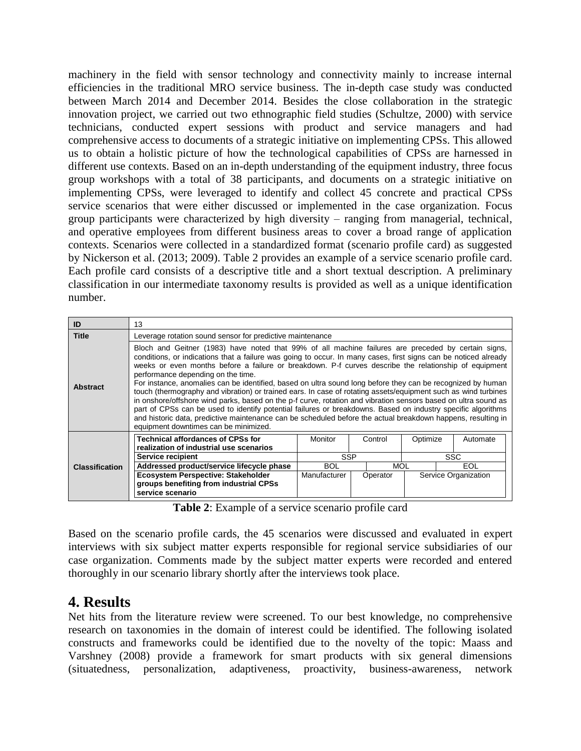machinery in the field with sensor technology and connectivity mainly to increase internal efficiencies in the traditional MRO service business. The in-depth case study was conducted between March 2014 and December 2014. Besides the close collaboration in the strategic innovation project, we carried out two ethnographic field studies (Schultze, 2000) with service technicians, conducted expert sessions with product and service managers and had comprehensive access to documents of a strategic initiative on implementing CPSs. This allowed us to obtain a holistic picture of how the technological capabilities of CPSs are harnessed in different use contexts. Based on an in-depth understanding of the equipment industry, three focus group workshops with a total of 38 participants, and documents on a strategic initiative on implementing CPSs, were leveraged to identify and collect 45 concrete and practical CPSs service scenarios that were either discussed or implemented in the case organization. Focus group participants were characterized by high diversity – ranging from managerial, technical, and operative employees from different business areas to cover a broad range of application contexts. Scenarios were collected in a standardized format (scenario profile card) as suggested by Nickerson et al. (2013; 2009). [Table 2](#page-6-0) provides an example of a service scenario profile card. Each profile card consists of a descriptive title and a short textual description. A preliminary classification in our intermediate taxonomy results is provided as well as a unique identification number.

| ID                    | 13                                                                                                                                                                                                                                                                                                                                                                                                                                                                                                                                                                                                                                                                                                                                                                                                                                                                                                                                                                                                |                |          |            |                      |
|-----------------------|---------------------------------------------------------------------------------------------------------------------------------------------------------------------------------------------------------------------------------------------------------------------------------------------------------------------------------------------------------------------------------------------------------------------------------------------------------------------------------------------------------------------------------------------------------------------------------------------------------------------------------------------------------------------------------------------------------------------------------------------------------------------------------------------------------------------------------------------------------------------------------------------------------------------------------------------------------------------------------------------------|----------------|----------|------------|----------------------|
| <b>Title</b>          | Leverage rotation sound sensor for predictive maintenance                                                                                                                                                                                                                                                                                                                                                                                                                                                                                                                                                                                                                                                                                                                                                                                                                                                                                                                                         |                |          |            |                      |
| <b>Abstract</b>       | Bloch and Geitner (1983) have noted that 99% of all machine failures are preceded by certain signs,<br>conditions, or indications that a failure was going to occur. In many cases, first signs can be noticed already<br>weeks or even months before a failure or breakdown. P-f curves describe the relationship of equipment<br>performance depending on the time.<br>For instance, anomalies can be identified, based on ultra sound long before they can be recognized by human<br>touch (thermography and vibration) or trained ears. In case of rotating assets/equipment such as wind turbines<br>in onshore/offshore wind parks, based on the p-f curve, rotation and vibration sensors based on ultra sound as<br>part of CPSs can be used to identify potential failures or breakdowns. Based on industry specific algorithms<br>and historic data, predictive maintenance can be scheduled before the actual breakdown happens, resulting in<br>equipment downtimes can be minimized. |                |          |            |                      |
|                       | <b>Technical affordances of CPSs for</b><br>realization of industrial use scenarios                                                                                                                                                                                                                                                                                                                                                                                                                                                                                                                                                                                                                                                                                                                                                                                                                                                                                                               | <b>Monitor</b> | Control  | Optimize   | Automate             |
|                       | Service recipient                                                                                                                                                                                                                                                                                                                                                                                                                                                                                                                                                                                                                                                                                                                                                                                                                                                                                                                                                                                 | <b>SSP</b>     |          | <b>SSC</b> |                      |
| <b>Classification</b> | Addressed product/service lifecycle phase                                                                                                                                                                                                                                                                                                                                                                                                                                                                                                                                                                                                                                                                                                                                                                                                                                                                                                                                                         | <b>BOL</b>     | MOL      |            | EOL                  |
|                       | Ecosystem Perspective: Stakeholder                                                                                                                                                                                                                                                                                                                                                                                                                                                                                                                                                                                                                                                                                                                                                                                                                                                                                                                                                                | Manufacturer   | Operator |            | Service Organization |
|                       | groups benefiting from industrial CPSs<br>service scenario                                                                                                                                                                                                                                                                                                                                                                                                                                                                                                                                                                                                                                                                                                                                                                                                                                                                                                                                        |                |          |            |                      |

**Table 2**: Example of a service scenario profile card

<span id="page-6-0"></span>Based on the scenario profile cards, the 45 scenarios were discussed and evaluated in expert interviews with six subject matter experts responsible for regional service subsidiaries of our case organization. Comments made by the subject matter experts were recorded and entered thoroughly in our scenario library shortly after the interviews took place.

## **4. Results**

Net hits from the literature review were screened. To our best knowledge, no comprehensive research on taxonomies in the domain of interest could be identified. The following isolated constructs and frameworks could be identified due to the novelty of the topic: Maass and Varshney (2008) provide a framework for smart products with six general dimensions (situatedness, personalization, adaptiveness, proactivity, business-awareness, network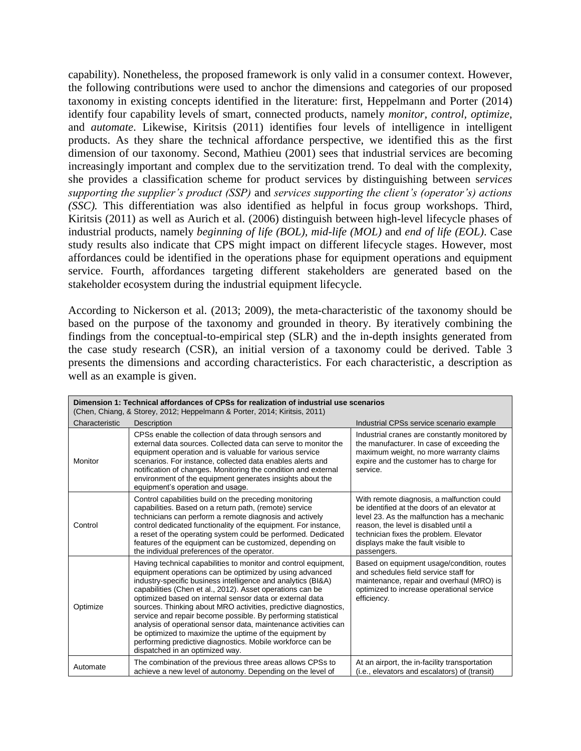capability). Nonetheless, the proposed framework is only valid in a consumer context. However, the following contributions were used to anchor the dimensions and categories of our proposed taxonomy in existing concepts identified in the literature: first, Heppelmann and Porter (2014) identify four capability levels of smart, connected products, namely *monitor, control, optimize,* and *automate*. Likewise, Kiritsis (2011) identifies four levels of intelligence in intelligent products. As they share the technical affordance perspective, we identified this as the first dimension of our taxonomy. Second, Mathieu (2001) sees that industrial services are becoming increasingly important and complex due to the servitization trend. To deal with the complexity, she provides a classification scheme for product services by distinguishing between s*ervices supporting the supplier's product (SSP)* and *services supporting the client's (operator's) actions (SSC).* This differentiation was also identified as helpful in focus group workshops. Third, Kiritsis (2011) as well as Aurich et al. (2006) distinguish between high-level lifecycle phases of industrial products, namely *beginning of life (BOL), mid-life (MOL)* and *end of life (EOL)*. Case study results also indicate that CPS might impact on different lifecycle stages. However, most affordances could be identified in the operations phase for equipment operations and equipment service. Fourth, affordances targeting different stakeholders are generated based on the stakeholder ecosystem during the industrial equipment lifecycle.

According to Nickerson et al. (2013; 2009), the meta-characteristic of the taxonomy should be based on the purpose of the taxonomy and grounded in theory. By iteratively combining the findings from the conceptual-to-empirical step (SLR) and the in-depth insights generated from the case study research (CSR), an initial version of a taxonomy could be derived. [Table 3](#page-9-0) presents the dimensions and according characteristics. For each characteristic, a description as well as an example is given.

| Dimension 1: Technical affordances of CPSs for realization of industrial use scenarios<br>(Chen, Chiang, & Storey, 2012; Heppelmann & Porter, 2014; Kiritsis, 2011) |                                                                                                                                                                                                                                                                                                                                                                                                                                                                                                                                                                                                                                                                                        |                                                                                                                                                                                                                                                                                   |  |  |
|---------------------------------------------------------------------------------------------------------------------------------------------------------------------|----------------------------------------------------------------------------------------------------------------------------------------------------------------------------------------------------------------------------------------------------------------------------------------------------------------------------------------------------------------------------------------------------------------------------------------------------------------------------------------------------------------------------------------------------------------------------------------------------------------------------------------------------------------------------------------|-----------------------------------------------------------------------------------------------------------------------------------------------------------------------------------------------------------------------------------------------------------------------------------|--|--|
| Characteristic                                                                                                                                                      | Description                                                                                                                                                                                                                                                                                                                                                                                                                                                                                                                                                                                                                                                                            | Industrial CPSs service scenario example                                                                                                                                                                                                                                          |  |  |
| Monitor                                                                                                                                                             | CPSs enable the collection of data through sensors and<br>external data sources. Collected data can serve to monitor the<br>equipment operation and is valuable for various service<br>scenarios. For instance, collected data enables alerts and<br>notification of changes. Monitoring the condition and external<br>environment of the equipment generates insights about the<br>equipment's operation and usage.                                                                                                                                                                                                                                                                   | Industrial cranes are constantly monitored by<br>the manufacturer. In case of exceeding the<br>maximum weight, no more warranty claims<br>expire and the customer has to charge for<br>service.                                                                                   |  |  |
| Control                                                                                                                                                             | Control capabilities build on the preceding monitoring<br>capabilities. Based on a return path, (remote) service<br>technicians can perform a remote diagnosis and actively<br>control dedicated functionality of the equipment. For instance,<br>a reset of the operating system could be performed. Dedicated<br>features of the equipment can be customized, depending on<br>the individual preferences of the operator.                                                                                                                                                                                                                                                            | With remote diagnosis, a malfunction could<br>be identified at the doors of an elevator at<br>level 23. As the malfunction has a mechanic<br>reason, the level is disabled until a<br>technician fixes the problem. Elevator<br>displays make the fault visible to<br>passengers. |  |  |
| Optimize                                                                                                                                                            | Having technical capabilities to monitor and control equipment,<br>equipment operations can be optimized by using advanced<br>industry-specific business intelligence and analytics (BI&A)<br>capabilities (Chen et al., 2012). Asset operations can be<br>optimized based on internal sensor data or external data<br>sources. Thinking about MRO activities, predictive diagnostics,<br>service and repair become possible. By performing statistical<br>analysis of operational sensor data, maintenance activities can<br>be optimized to maximize the uptime of the equipment by<br>performing predictive diagnostics. Mobile workforce can be<br>dispatched in an optimized way. | Based on equipment usage/condition, routes<br>and schedules field service staff for<br>maintenance, repair and overhaul (MRO) is<br>optimized to increase operational service<br>efficiency.                                                                                      |  |  |
| Automate                                                                                                                                                            | The combination of the previous three areas allows CPSs to<br>achieve a new level of autonomy. Depending on the level of                                                                                                                                                                                                                                                                                                                                                                                                                                                                                                                                                               | At an airport, the in-facility transportation<br>(i.e., elevators and escalators) of (transit)                                                                                                                                                                                    |  |  |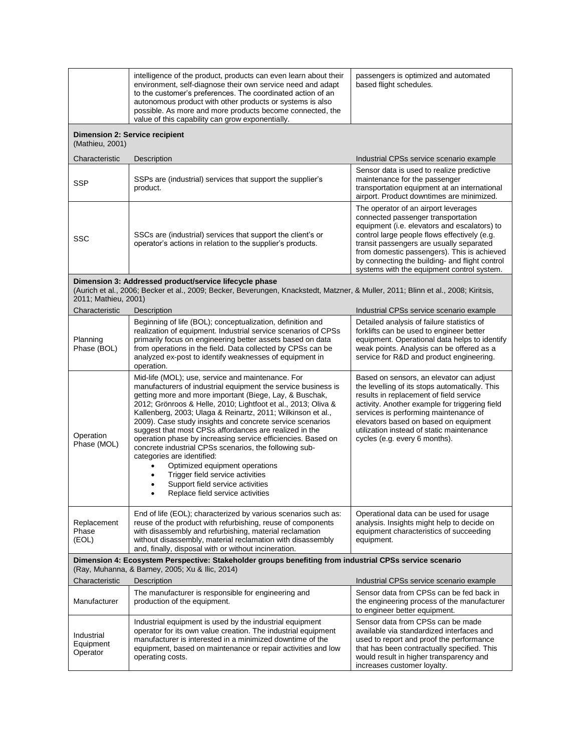|                                                                                                                                                            | intelligence of the product, products can even learn about their<br>environment, self-diagnose their own service need and adapt<br>to the customer's preferences. The coordinated action of an<br>autonomous product with other products or systems is also<br>possible. As more and more products become connected, the<br>value of this capability can grow exponentially.                                                                                                                                                                                                                                                                                                                                                                    | passengers is optimized and automated<br>based flight schedules.                                                                                                                                                                                                                                                                                                      |  |  |
|------------------------------------------------------------------------------------------------------------------------------------------------------------|-------------------------------------------------------------------------------------------------------------------------------------------------------------------------------------------------------------------------------------------------------------------------------------------------------------------------------------------------------------------------------------------------------------------------------------------------------------------------------------------------------------------------------------------------------------------------------------------------------------------------------------------------------------------------------------------------------------------------------------------------|-----------------------------------------------------------------------------------------------------------------------------------------------------------------------------------------------------------------------------------------------------------------------------------------------------------------------------------------------------------------------|--|--|
| <b>Dimension 2: Service recipient</b><br>(Mathieu, 2001)                                                                                                   |                                                                                                                                                                                                                                                                                                                                                                                                                                                                                                                                                                                                                                                                                                                                                 |                                                                                                                                                                                                                                                                                                                                                                       |  |  |
| Characteristic                                                                                                                                             | Description                                                                                                                                                                                                                                                                                                                                                                                                                                                                                                                                                                                                                                                                                                                                     | Industrial CPSs service scenario example                                                                                                                                                                                                                                                                                                                              |  |  |
| <b>SSP</b>                                                                                                                                                 | SSPs are (industrial) services that support the supplier's<br>product.                                                                                                                                                                                                                                                                                                                                                                                                                                                                                                                                                                                                                                                                          | Sensor data is used to realize predictive<br>maintenance for the passenger<br>transportation equipment at an international<br>airport. Product downtimes are minimized.                                                                                                                                                                                               |  |  |
| <b>SSC</b>                                                                                                                                                 | SSCs are (industrial) services that support the client's or<br>operator's actions in relation to the supplier's products.                                                                                                                                                                                                                                                                                                                                                                                                                                                                                                                                                                                                                       | The operator of an airport leverages<br>connected passenger transportation<br>equipment (i.e. elevators and escalators) to<br>control large people flows effectively (e.g.<br>transit passengers are usually separated<br>from domestic passengers). This is achieved<br>by connecting the building- and flight control<br>systems with the equipment control system. |  |  |
| 2011; Mathieu, 2001)                                                                                                                                       | Dimension 3: Addressed product/service lifecycle phase<br>(Aurich et al., 2006; Becker et al., 2009; Becker, Beverungen, Knackstedt, Matzner, & Muller, 2011; Blinn et al., 2008; Kiritsis,                                                                                                                                                                                                                                                                                                                                                                                                                                                                                                                                                     |                                                                                                                                                                                                                                                                                                                                                                       |  |  |
| Characteristic                                                                                                                                             | Description                                                                                                                                                                                                                                                                                                                                                                                                                                                                                                                                                                                                                                                                                                                                     | Industrial CPSs service scenario example                                                                                                                                                                                                                                                                                                                              |  |  |
| Planning<br>Phase (BOL)                                                                                                                                    | Beginning of life (BOL); conceptualization, definition and<br>realization of equipment. Industrial service scenarios of CPSs<br>primarily focus on engineering better assets based on data<br>from operations in the field. Data collected by CPSs can be<br>analyzed ex-post to identify weaknesses of equipment in<br>operation.                                                                                                                                                                                                                                                                                                                                                                                                              | Detailed analysis of failure statistics of<br>forklifts can be used to engineer better<br>equipment. Operational data helps to identify<br>weak points. Analysis can be offered as a<br>service for R&D and product engineering.                                                                                                                                      |  |  |
| Operation<br>Phase (MOL)                                                                                                                                   | Mid-life (MOL); use, service and maintenance. For<br>manufacturers of industrial equipment the service business is<br>getting more and more important (Biege, Lay, & Buschak,<br>2012; Grönroos & Helle, 2010; Lightfoot et al., 2013; Oliva &<br>Kallenberg, 2003; Ulaga & Reinartz, 2011; Wilkinson et al.,<br>2009). Case study insights and concrete service scenarios<br>suggest that most CPSs affordances are realized in the<br>operation phase by increasing service efficiencies. Based on<br>concrete industrial CPSs scenarios, the following sub-<br>categories are identified:<br>Optimized equipment operations<br>Trigger field service activities<br>Support field service activities<br>Replace field service activities<br>٠ | Based on sensors, an elevator can adjust<br>the levelling of its stops automatically. This<br>results in replacement of field service<br>activity. Another example for triggering field<br>services is performing maintenance of<br>elevators based on based on equipment<br>utilization instead of static maintenance<br>cycles (e.g. every 6 months).               |  |  |
| Replacement<br>Phase<br>(EOL)                                                                                                                              | End of life (EOL); characterized by various scenarios such as:<br>reuse of the product with refurbishing, reuse of components<br>with disassembly and refurbishing, material reclamation<br>without disassembly, material reclamation with disassembly<br>and, finally, disposal with or without incineration.                                                                                                                                                                                                                                                                                                                                                                                                                                  | Operational data can be used for usage<br>analysis. Insights might help to decide on<br>equipment characteristics of succeeding<br>equipment.                                                                                                                                                                                                                         |  |  |
| Dimension 4: Ecosystem Perspective: Stakeholder groups benefiting from industrial CPSs service scenario<br>(Ray, Muhanna, & Barney, 2005; Xu & Ilic, 2014) |                                                                                                                                                                                                                                                                                                                                                                                                                                                                                                                                                                                                                                                                                                                                                 |                                                                                                                                                                                                                                                                                                                                                                       |  |  |
| Characteristic                                                                                                                                             | Description                                                                                                                                                                                                                                                                                                                                                                                                                                                                                                                                                                                                                                                                                                                                     | Industrial CPSs service scenario example                                                                                                                                                                                                                                                                                                                              |  |  |
| Manufacturer                                                                                                                                               | The manufacturer is responsible for engineering and<br>production of the equipment.                                                                                                                                                                                                                                                                                                                                                                                                                                                                                                                                                                                                                                                             | Sensor data from CPSs can be fed back in<br>the engineering process of the manufacturer<br>to engineer better equipment.                                                                                                                                                                                                                                              |  |  |
| Industrial<br>Equipment<br>Operator                                                                                                                        | Industrial equipment is used by the industrial equipment<br>operator for its own value creation. The industrial equipment<br>manufacturer is interested in a minimized downtime of the<br>equipment, based on maintenance or repair activities and low<br>operating costs.                                                                                                                                                                                                                                                                                                                                                                                                                                                                      | Sensor data from CPSs can be made<br>available via standardized interfaces and<br>used to report and proof the performance<br>that has been contractually specified. This<br>would result in higher transparency and<br>increases customer loyalty.                                                                                                                   |  |  |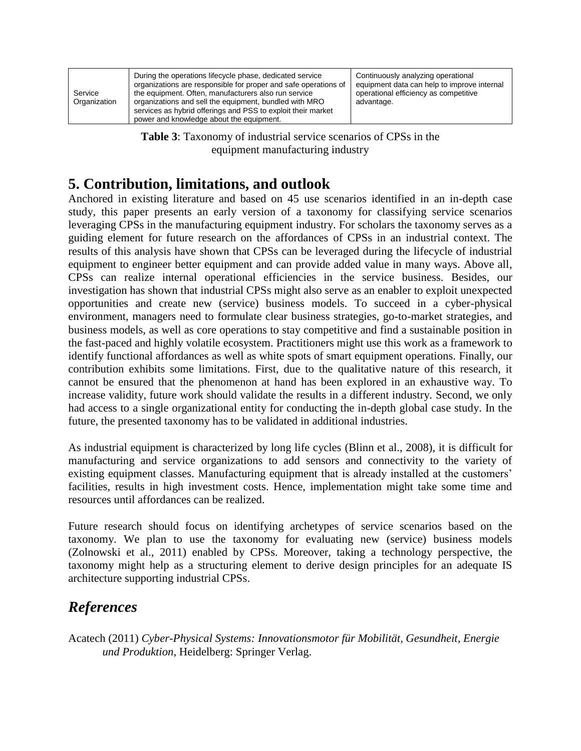| Service<br>Organization | During the operations lifecycle phase, dedicated service<br>organizations are responsible for proper and safe operations of<br>the equipment. Often, manufacturers also run service<br>organizations and sell the equipment, bundled with MRO<br>services as hybrid offerings and PSS to exploit their market<br>power and knowledge about the equipment. | Continuously analyzing operational<br>equipment data can help to improve internal<br>operational efficiency as competitive<br>advantage. |
|-------------------------|-----------------------------------------------------------------------------------------------------------------------------------------------------------------------------------------------------------------------------------------------------------------------------------------------------------------------------------------------------------|------------------------------------------------------------------------------------------------------------------------------------------|
|-------------------------|-----------------------------------------------------------------------------------------------------------------------------------------------------------------------------------------------------------------------------------------------------------------------------------------------------------------------------------------------------------|------------------------------------------------------------------------------------------------------------------------------------------|

**Table 3**: Taxonomy of industrial service scenarios of CPSs in the equipment manufacturing industry

## <span id="page-9-0"></span>**5. Contribution, limitations, and outlook**

Anchored in existing literature and based on 45 use scenarios identified in an in-depth case study, this paper presents an early version of a taxonomy for classifying service scenarios leveraging CPSs in the manufacturing equipment industry. For scholars the taxonomy serves as a guiding element for future research on the affordances of CPSs in an industrial context. The results of this analysis have shown that CPSs can be leveraged during the lifecycle of industrial equipment to engineer better equipment and can provide added value in many ways. Above all, CPSs can realize internal operational efficiencies in the service business. Besides, our investigation has shown that industrial CPSs might also serve as an enabler to exploit unexpected opportunities and create new (service) business models. To succeed in a cyber-physical environment, managers need to formulate clear business strategies, go-to-market strategies, and business models, as well as core operations to stay competitive and find a sustainable position in the fast-paced and highly volatile ecosystem. Practitioners might use this work as a framework to identify functional affordances as well as white spots of smart equipment operations. Finally, our contribution exhibits some limitations. First, due to the qualitative nature of this research, it cannot be ensured that the phenomenon at hand has been explored in an exhaustive way. To increase validity, future work should validate the results in a different industry. Second, we only had access to a single organizational entity for conducting the in-depth global case study. In the future, the presented taxonomy has to be validated in additional industries.

As industrial equipment is characterized by long life cycles (Blinn et al., 2008), it is difficult for manufacturing and service organizations to add sensors and connectivity to the variety of existing equipment classes. Manufacturing equipment that is already installed at the customers' facilities, results in high investment costs. Hence, implementation might take some time and resources until affordances can be realized.

Future research should focus on identifying archetypes of service scenarios based on the taxonomy. We plan to use the taxonomy for evaluating new (service) business models (Zolnowski et al., 2011) enabled by CPSs. Moreover, taking a technology perspective, the taxonomy might help as a structuring element to derive design principles for an adequate IS architecture supporting industrial CPSs.

## *References*

Acatech (2011) *Cyber-Physical Systems: Innovationsmotor für Mobilität, Gesundheit, Energie und Produktion*, Heidelberg: Springer Verlag.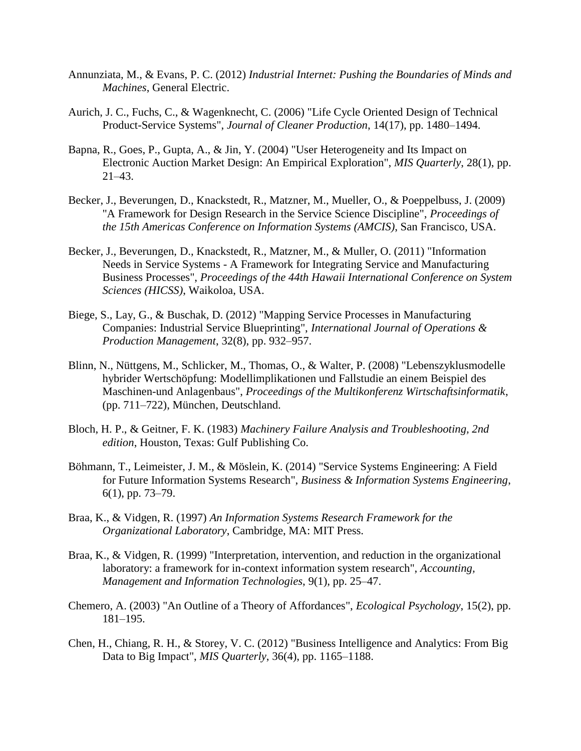- Annunziata, M., & Evans, P. C. (2012) *Industrial Internet: Pushing the Boundaries of Minds and Machines*, General Electric.
- Aurich, J. C., Fuchs, C., & Wagenknecht, C. (2006) "Life Cycle Oriented Design of Technical Product-Service Systems", *Journal of Cleaner Production*, 14(17), pp. 1480–1494.
- Bapna, R., Goes, P., Gupta, A., & Jin, Y. (2004) "User Heterogeneity and Its Impact on Electronic Auction Market Design: An Empirical Exploration", *MIS Quarterly*, 28(1), pp. 21–43.
- Becker, J., Beverungen, D., Knackstedt, R., Matzner, M., Mueller, O., & Poeppelbuss, J. (2009) "A Framework for Design Research in the Service Science Discipline", *Proceedings of the 15th Americas Conference on Information Systems (AMCIS)*, San Francisco, USA.
- Becker, J., Beverungen, D., Knackstedt, R., Matzner, M., & Muller, O. (2011) "Information Needs in Service Systems - A Framework for Integrating Service and Manufacturing Business Processes", *Proceedings of the 44th Hawaii International Conference on System Sciences (HICSS)*, Waikoloa, USA.
- Biege, S., Lay, G., & Buschak, D. (2012) "Mapping Service Processes in Manufacturing Companies: Industrial Service Blueprinting", *International Journal of Operations & Production Management*, 32(8), pp. 932–957.
- Blinn, N., Nüttgens, M., Schlicker, M., Thomas, O., & Walter, P. (2008) "Lebenszyklusmodelle hybrider Wertschöpfung: Modellimplikationen und Fallstudie an einem Beispiel des Maschinen-und Anlagenbaus", *Proceedings of the Multikonferenz Wirtschaftsinformatik*, (pp. 711–722), München, Deutschland.
- Bloch, H. P., & Geitner, F. K. (1983) *Machinery Failure Analysis and Troubleshooting, 2nd edition*, Houston, Texas: Gulf Publishing Co.
- Böhmann, T., Leimeister, J. M., & Möslein, K. (2014) "Service Systems Engineering: A Field for Future Information Systems Research", *Business & Information Systems Engineering*, 6(1), pp. 73–79.
- Braa, K., & Vidgen, R. (1997) *An Information Systems Research Framework for the Organizational Laboratory*, Cambridge, MA: MIT Press.
- Braa, K., & Vidgen, R. (1999) "Interpretation, intervention, and reduction in the organizational laboratory: a framework for in-context information system research", *Accounting, Management and Information Technologies*, 9(1), pp. 25–47.
- Chemero, A. (2003) "An Outline of a Theory of Affordances", *Ecological Psychology*, 15(2), pp. 181–195.
- Chen, H., Chiang, R. H., & Storey, V. C. (2012) "Business Intelligence and Analytics: From Big Data to Big Impact", *MIS Quarterly*, 36(4), pp. 1165–1188.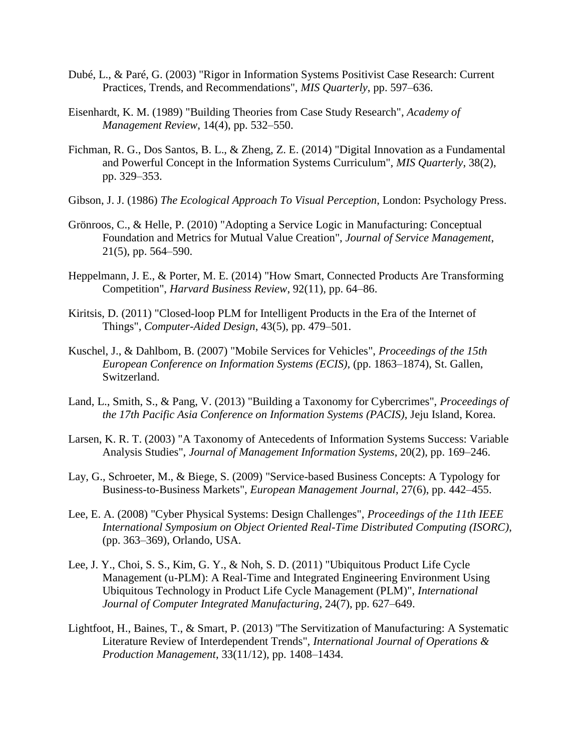- Dubé, L., & Paré, G. (2003) "Rigor in Information Systems Positivist Case Research: Current Practices, Trends, and Recommendations", *MIS Quarterly*, pp. 597–636.
- Eisenhardt, K. M. (1989) "Building Theories from Case Study Research", *Academy of Management Review*, 14(4), pp. 532–550.
- Fichman, R. G., Dos Santos, B. L., & Zheng, Z. E. (2014) "Digital Innovation as a Fundamental and Powerful Concept in the Information Systems Curriculum", *MIS Quarterly*, 38(2), pp. 329–353.
- Gibson, J. J. (1986) *The Ecological Approach To Visual Perception*, London: Psychology Press.
- Grönroos, C., & Helle, P. (2010) "Adopting a Service Logic in Manufacturing: Conceptual Foundation and Metrics for Mutual Value Creation", *Journal of Service Management*, 21(5), pp. 564–590.
- Heppelmann, J. E., & Porter, M. E. (2014) "How Smart, Connected Products Are Transforming Competition", *Harvard Business Review*, 92(11), pp. 64–86.
- Kiritsis, D. (2011) "Closed-loop PLM for Intelligent Products in the Era of the Internet of Things", *Computer-Aided Design*, 43(5), pp. 479–501.
- Kuschel, J., & Dahlbom, B. (2007) "Mobile Services for Vehicles", *Proceedings of the 15th European Conference on Information Systems (ECIS)*, (pp. 1863–1874), St. Gallen, Switzerland.
- Land, L., Smith, S., & Pang, V. (2013) "Building a Taxonomy for Cybercrimes", *Proceedings of the 17th Pacific Asia Conference on Information Systems (PACIS)*, Jeju Island, Korea.
- Larsen, K. R. T. (2003) "A Taxonomy of Antecedents of Information Systems Success: Variable Analysis Studies", *Journal of Management Information Systems*, 20(2), pp. 169–246.
- Lay, G., Schroeter, M., & Biege, S. (2009) "Service-based Business Concepts: A Typology for Business-to-Business Markets", *European Management Journal*, 27(6), pp. 442–455.
- Lee, E. A. (2008) "Cyber Physical Systems: Design Challenges", *Proceedings of the 11th IEEE International Symposium on Object Oriented Real-Time Distributed Computing (ISORC)*, (pp. 363–369), Orlando, USA.
- Lee, J. Y., Choi, S. S., Kim, G. Y., & Noh, S. D. (2011) "Ubiquitous Product Life Cycle Management (u-PLM): A Real-Time and Integrated Engineering Environment Using Ubiquitous Technology in Product Life Cycle Management (PLM)", *International Journal of Computer Integrated Manufacturing*, 24(7), pp. 627–649.
- Lightfoot, H., Baines, T., & Smart, P. (2013) "The Servitization of Manufacturing: A Systematic Literature Review of Interdependent Trends", *International Journal of Operations & Production Management*, 33(11/12), pp. 1408–1434.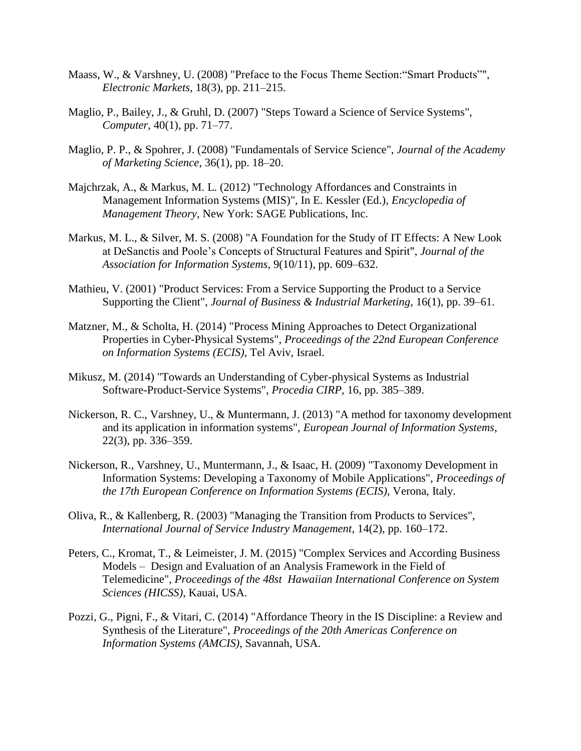- Maass, W., & Varshney, U. (2008) "Preface to the Focus Theme Section:"Smart Products"", *Electronic Markets*, 18(3), pp. 211–215.
- Maglio, P., Bailey, J., & Gruhl, D. (2007) "Steps Toward a Science of Service Systems", *Computer*, 40(1), pp. 71–77.
- Maglio, P. P., & Spohrer, J. (2008) "Fundamentals of Service Science", *Journal of the Academy of Marketing Science*, 36(1), pp. 18–20.
- Majchrzak, A., & Markus, M. L. (2012) "Technology Affordances and Constraints in Management Information Systems (MIS)", In E. Kessler (Ed.), *Encyclopedia of Management Theory*, New York: SAGE Publications, Inc.
- Markus, M. L., & Silver, M. S. (2008) "A Foundation for the Study of IT Effects: A New Look at DeSanctis and Poole's Concepts of Structural Features and Spirit", *Journal of the Association for Information Systems*, 9(10/11), pp. 609–632.
- Mathieu, V. (2001) "Product Services: From a Service Supporting the Product to a Service Supporting the Client", *Journal of Business & Industrial Marketing*, 16(1), pp. 39–61.
- Matzner, M., & Scholta, H. (2014) "Process Mining Approaches to Detect Organizational Properties in Cyber-Physical Systems", *Proceedings of the 22nd European Conference on Information Systems (ECIS)*, Tel Aviv, Israel.
- Mikusz, M. (2014) "Towards an Understanding of Cyber-physical Systems as Industrial Software-Product-Service Systems", *Procedia CIRP*, 16, pp. 385–389.
- Nickerson, R. C., Varshney, U., & Muntermann, J. (2013) "A method for taxonomy development and its application in information systems", *European Journal of Information Systems*, 22(3), pp. 336–359.
- Nickerson, R., Varshney, U., Muntermann, J., & Isaac, H. (2009) "Taxonomy Development in Information Systems: Developing a Taxonomy of Mobile Applications", *Proceedings of the 17th European Conference on Information Systems (ECIS)*, Verona, Italy.
- Oliva, R., & Kallenberg, R. (2003) "Managing the Transition from Products to Services", *International Journal of Service Industry Management*, 14(2), pp. 160–172.
- Peters, C., Kromat, T., & Leimeister, J. M. (2015) "Complex Services and According Business Models – Design and Evaluation of an Analysis Framework in the Field of Telemedicine", *Proceedings of the 48st Hawaiian International Conference on System Sciences (HICSS)*, Kauai, USA.
- Pozzi, G., Pigni, F., & Vitari, C. (2014) "Affordance Theory in the IS Discipline: a Review and Synthesis of the Literature", *Proceedings of the 20th Americas Conference on Information Systems (AMCIS)*, Savannah, USA.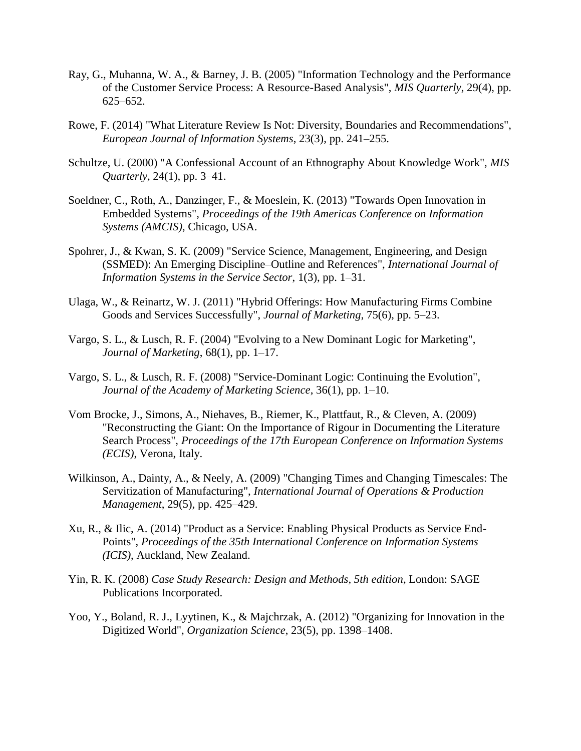- Ray, G., Muhanna, W. A., & Barney, J. B. (2005) "Information Technology and the Performance of the Customer Service Process: A Resource-Based Analysis", *MIS Quarterly*, 29(4), pp. 625–652.
- Rowe, F. (2014) "What Literature Review Is Not: Diversity, Boundaries and Recommendations", *European Journal of Information Systems*, 23(3), pp. 241–255.
- Schultze, U. (2000) "A Confessional Account of an Ethnography About Knowledge Work", *MIS Quarterly*, 24(1), pp. 3–41.
- Soeldner, C., Roth, A., Danzinger, F., & Moeslein, K. (2013) "Towards Open Innovation in Embedded Systems", *Proceedings of the 19th Americas Conference on Information Systems (AMCIS)*, Chicago, USA.
- Spohrer, J., & Kwan, S. K. (2009) "Service Science, Management, Engineering, and Design (SSMED): An Emerging Discipline–Outline and References", *International Journal of Information Systems in the Service Sector*, 1(3), pp. 1–31.
- Ulaga, W., & Reinartz, W. J. (2011) "Hybrid Offerings: How Manufacturing Firms Combine Goods and Services Successfully", *Journal of Marketing*, 75(6), pp. 5–23.
- Vargo, S. L., & Lusch, R. F. (2004) "Evolving to a New Dominant Logic for Marketing", *Journal of Marketing*, 68(1), pp. 1–17.
- Vargo, S. L., & Lusch, R. F. (2008) "Service-Dominant Logic: Continuing the Evolution", *Journal of the Academy of Marketing Science*, 36(1), pp. 1–10.
- Vom Brocke, J., Simons, A., Niehaves, B., Riemer, K., Plattfaut, R., & Cleven, A. (2009) "Reconstructing the Giant: On the Importance of Rigour in Documenting the Literature Search Process", *Proceedings of the 17th European Conference on Information Systems (ECIS)*, Verona, Italy.
- Wilkinson, A., Dainty, A., & Neely, A. (2009) "Changing Times and Changing Timescales: The Servitization of Manufacturing", *International Journal of Operations & Production Management*, 29(5), pp. 425–429.
- Xu, R., & Ilic, A. (2014) "Product as a Service: Enabling Physical Products as Service End-Points", *Proceedings of the 35th International Conference on Information Systems (ICIS)*, Auckland, New Zealand.
- Yin, R. K. (2008) *Case Study Research: Design and Methods, 5th edition*, London: SAGE Publications Incorporated.
- Yoo, Y., Boland, R. J., Lyytinen, K., & Majchrzak, A. (2012) "Organizing for Innovation in the Digitized World", *Organization Science*, 23(5), pp. 1398–1408.